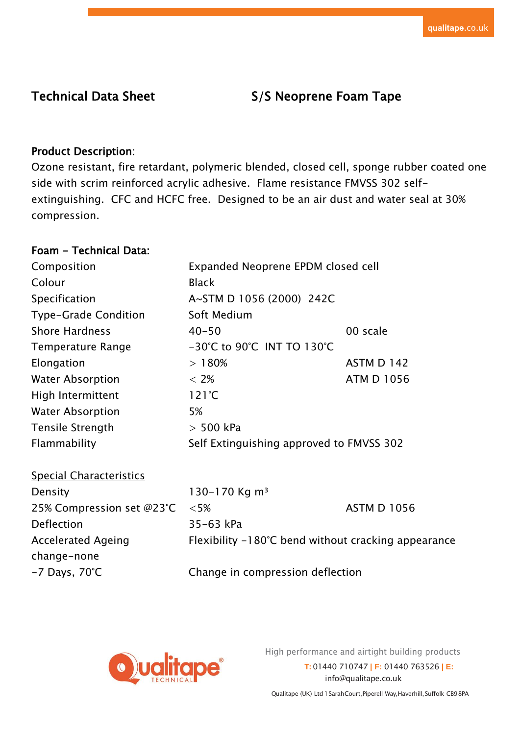# Technical Data Sheet S/S Neoprene Foam Tape

# Product Description:

Ozone resistant, fire retardant, polymeric blended, closed cell, sponge rubber coated one side with scrim reinforced acrylic adhesive. Flame resistance FMVSS 302 selfextinguishing. CFC and HCFC free. Designed to be an air dust and water seal at 30% compression.

## Foam - Technical Data:

| Composition                    | Expanded Neoprene EPDM closed cell                            |                    |  |
|--------------------------------|---------------------------------------------------------------|--------------------|--|
| Colour                         | <b>Black</b>                                                  |                    |  |
| Specification                  | A~STM D 1056 (2000) 242C                                      |                    |  |
| Type-Grade Condition           | Soft Medium                                                   |                    |  |
| <b>Shore Hardness</b>          | $40 - 50$                                                     | 00 scale           |  |
| <b>Temperature Range</b>       | -30°C to 90°C INT TO 130°C                                    |                    |  |
| Elongation                     | >180%                                                         | <b>ASTM D 142</b>  |  |
| <b>Water Absorption</b>        | $< 2\%$                                                       | <b>ATM D 1056</b>  |  |
| High Intermittent              | $121^{\circ}C$                                                |                    |  |
| <b>Water Absorption</b>        | 5%                                                            |                    |  |
| <b>Tensile Strength</b>        | $>$ 500 kPa                                                   |                    |  |
| Flammability                   | Self Extinguishing approved to FMVSS 302                      |                    |  |
| <b>Special Characteristics</b> |                                                               |                    |  |
| Density                        | 130-170 Kg m <sup>3</sup>                                     |                    |  |
| 25% Compression set @23°C      | $<5\%$                                                        | <b>ASTM D 1056</b> |  |
| Deflection                     | 35-63 kPa                                                     |                    |  |
| <b>Accelerated Ageing</b>      | Flexibility $-180^{\circ}$ C bend without cracking appearance |                    |  |
| change-none                    |                                                               |                    |  |
| $-7$ Days, 70 $\degree$ C      | Change in compression deflection                              |                    |  |



High performance and airtight building products

**T:** 01440 710747 **| F:** 01440 763526 **| E:**  [info@qualitape.co.uk](mailto:info@qualitape.co.uk)

Qualitape (UK) Ltd 1SarahCourt,Piperell Way,Haverhill,Suffolk CB98PA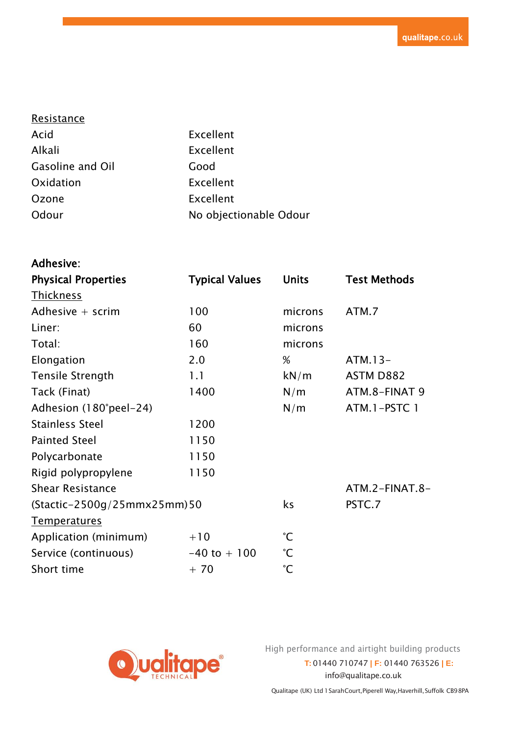| Resistance       |                        |
|------------------|------------------------|
| Acid             | Excellent              |
| Alkali           | Excellent              |
| Gasoline and Oil | Good                   |
| Oxidation        | Excellent              |
| Ozone            | Excellent              |
| Odour            | No objectionable Odour |

| <b>Adhesive:</b>            |                       |                 |                     |
|-----------------------------|-----------------------|-----------------|---------------------|
| <b>Physical Properties</b>  | <b>Typical Values</b> | <b>Units</b>    | <b>Test Methods</b> |
| <b>Thickness</b>            |                       |                 |                     |
| Adhesive $+$ scrim          | 100                   | microns         | ATM.7               |
| Liner:                      | 60                    | microns         |                     |
| Total:                      | 160                   | microns         |                     |
| Elongation                  | 2.0                   | %               | $ATM.13-$           |
| <b>Tensile Strength</b>     | 1.1                   | kN/m            | ASTM D882           |
| Tack (Finat)                | 1400                  | N/m             | ATM.8-FINAT 9       |
| Adhesion (180°peel-24)      |                       | N/m             | ATM.1-PSTC1         |
| <b>Stainless Steel</b>      | 1200                  |                 |                     |
| <b>Painted Steel</b>        | 1150                  |                 |                     |
| Polycarbonate               | 1150                  |                 |                     |
| Rigid polypropylene         | 1150                  |                 |                     |
| <b>Shear Resistance</b>     |                       |                 | ATM.2-FINAT.8-      |
| (Stactic-2500g/25mmx25mm)50 |                       | ks              | PSTC.7              |
| <b>Temperatures</b>         |                       |                 |                     |
| Application (minimum)       | $+10$                 | $\mathrm{C}$    |                     |
| Service (continuous)        | $-40$ to $+100$       | $\rm ^{\circ}C$ |                     |
| Short time                  | $+70$                 | $\mathrm{C}$    |                     |



High performance and airtight building products

**T:** 01440 710747 **| F:** 01440 763526 **| E:**  [info@qualitape.co.uk](mailto:info@qualitape.co.uk)

Qualitape (UK) Ltd 1 SarahCourt, Piperell Way, Haverhill, Suffolk CB9 8PA